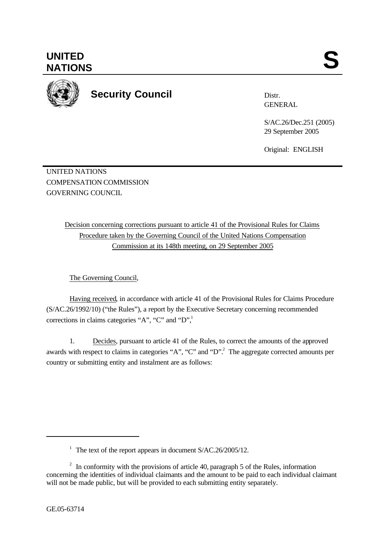

**Security Council**

Distr. GENERAL

S/AC.26/Dec.251 (2005) 29 September 2005

Original: ENGLISH

UNITED NATIONS COMPENSATION COMMISSION GOVERNING COUNCIL

> Decision concerning corrections pursuant to article 41 of the Provisional Rules for Claims Procedure taken by the Governing Council of the United Nations Compensation Commission at its 148th meeting, on 29 September 2005

The Governing Council,

Having received, in accordance with article 41 of the Provisional Rules for Claims Procedure (S/AC.26/1992/10) ("the Rules"), a report by the Executive Secretary concerning recommended corrections in claims categories "A", "C" and "D",

1. Decides, pursuant to article 41 of the Rules, to correct the amounts of the approved awards with respect to claims in categories "A", "C" and "D".<sup>2</sup> The aggregate corrected amounts per country or submitting entity and instalment are as follows:

l

<sup>&</sup>lt;sup>1</sup> The text of the report appears in document S/AC.26/2005/12.

 $2\;\;$  In conformity with the provisions of article 40, paragraph 5 of the Rules, information concerning the identities of individual claimants and the amount to be paid to each individual claimant will not be made public, but will be provided to each submitting entity separately.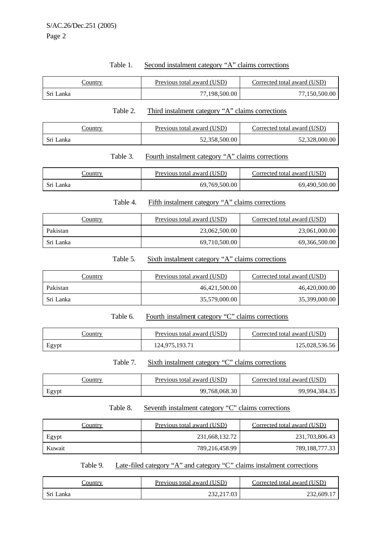| Table 1. |  |  | Second instalment category "A" claims corrections |
|----------|--|--|---------------------------------------------------|
|          |  |  |                                                   |

|           | Country        |          | Previous total award (USD)                        | Corrected total award (USD) |
|-----------|----------------|----------|---------------------------------------------------|-----------------------------|
| Sri Lanka |                |          | 77,198,500.00                                     | 77,150,500.00               |
|           |                | Table 2. | Third instalment category "A" claims corrections  |                             |
|           | <b>Country</b> |          | Previous total award (USD)                        | Corrected total award (USD) |
| Sri Lanka |                |          | 52,358,500.00                                     | 52,328,000.00               |
|           |                | Table 3. | Fourth instalment category "A" claims corrections |                             |
|           | <b>Country</b> |          | Previous total award (USD)                        | Corrected total award (USD) |
| Sri Lanka |                |          | 69,769,500.00                                     | 69,490,500.00               |
|           |                | Table 4. | Fifth instalment category "A" claims corrections  |                             |
|           | Country        |          | Previous total award (USD)                        | Corrected total award (USD) |
| Pakistan  |                |          | 23,062,500.00                                     | 23,061,000.00               |
| Sri Lanka |                |          | 69,710,500.00                                     | 69,366,500.00               |
|           |                | Table 5. | Sixth instalment category "A" claims corrections  |                             |
|           | Country        |          | Previous total award (USD)                        | Corrected total award (USD) |

| Country   | Previous total award (USD) | Corrected total award (USD) |
|-----------|----------------------------|-----------------------------|
| Pakistan  | 46,421,500.00              | 46,420,000.00               |
| Sri Lanka | 35,579,000.00              | 35,399,000.00               |

Table 6. Fourth instalment category "C" claims corrections

| <b>Country</b> | Previous total award (USD) | Corrected total award (USD) |
|----------------|----------------------------|-----------------------------|
| Egypt          | 124,975,193.71             | 125,028,536.56              |

Table 7. Sixth instalment category "C" claims corrections

| <u>'ountry</u> | Previous total award (USD) | Corrected total award (USD) |
|----------------|----------------------------|-----------------------------|
| Egypt          | 99,768,068.30              | 99,994,384.35               |

## Table 8. Seventh instalment category "C" claims corrections

| <u>Country</u> | Previous total award (USD) | Corrected total award (USD) |
|----------------|----------------------------|-----------------------------|
| Egypt          | 231,668,132.72             | 231,703,806.43              |
| Kuwait         | 789,216,458.99             | 789, 188, 777. 33           |

Table 9. Late-filed category "A" and category "C" claims instalment corrections

| ∠ountry   | Previous total award (USD) | Corrected total award (USD) |
|-----------|----------------------------|-----------------------------|
| Sri Lanka | 232, 217, 03               | 232,609.1                   |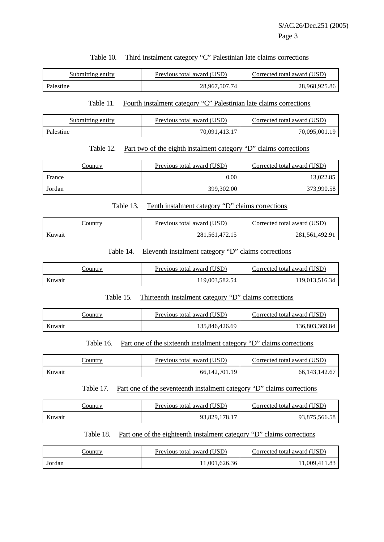### Table 10. Third instalment category "C" Palestinian late claims corrections

| Submitting entity | Previous total award (USD) | Corrected total award (USD) |
|-------------------|----------------------------|-----------------------------|
| Palestine         | 28,967,507.74              | 28,968,925.86               |

### Table 11. Fourth instalment category "C" Palestinian late claims corrections

| Submitting entity | Previous total award (USD) | Corrected total award (USD) |
|-------------------|----------------------------|-----------------------------|
| Palestine         | 70.091.413.17              | 70.095.001.19               |

### Table 12. Part two of the eighth instalment category "D" claims corrections

| Country | Previous total award (USD) | Corrected total award (USD) |
|---------|----------------------------|-----------------------------|
| France  | $0.00\,$                   | 13.022.85                   |
| Jordan  | 399,302.00                 | 373,990.58                  |

#### Table 13. Tenth instalment category "D" claims corrections

| <u>Sountry</u> | Previous total award (USD) | Corrected total award (USD) |
|----------------|----------------------------|-----------------------------|
| Kuwait         | 281, 561, 472. 15          | 281,561,492.91              |

### Table 14. Eleventh instalment category "D" claims corrections

| Country | Previous total award (USD) | Corrected total award (USD) |
|---------|----------------------------|-----------------------------|
| Kuwait  | 119,003,582.54             | 119.013.516.34              |

#### Table 15. Thirteenth instalment category "D" claims corrections

| Country | Previous total award (USD) | Corrected total award (USD) |
|---------|----------------------------|-----------------------------|
| Kuwait  | 135,846,426.69             | 136,803,369.84              |

### Table 16. Part one of the sixteenth instalment category "D" claims corrections

| Country | Previous total award (USD) | Corrected total award (USD) |
|---------|----------------------------|-----------------------------|
| Kuwait  | 66, 142, 701. 19           | 66, 143, 142. 67            |

#### Table 17. Part one of the seventeenth instalment category "D" claims corrections

| Country | Previous total award (USD) | Corrected total award (USD) |
|---------|----------------------------|-----------------------------|
| Kuwait  | 93,829,178.1.              | 93,875,566.58               |

## Table 18. Part one of the eighteenth instalment category "D" claims corrections

| Country | Previous total award (USD) | Corrected total award (USD) |
|---------|----------------------------|-----------------------------|
| Jordan  | 11.001.626.36              | 1,009,411.83                |